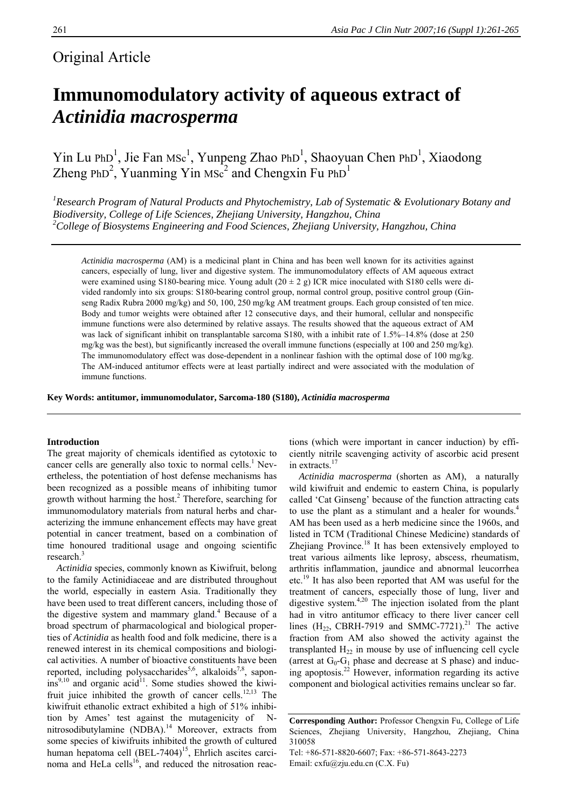## Original Article

# **Immunomodulatory activity of aqueous extract of**  *Actinidia macrosperma*

 $\text{Yin Lu PhD}^1$ , Jie Fan MSc<sup>1</sup>, Yunpeng Zhao PhD<sup>1</sup>, Shaoyuan Chen PhD<sup>1</sup>, Xiaodong Zheng PhD<sup>2</sup>, Yuanming Yin MSc<sup>2</sup> and Chengxin Fu PhD<sup>1</sup>

*1 Research Program of Natural Products and Phytochemistry, Lab of Systematic & Evolutionary Botany and Biodiversity, College of Life Sciences, Zhejiang University, Hangzhou, China 2 College of Biosystems Engineering and Food Sciences, Zhejiang University, Hangzhou, China* 

*Actinidia macrosperma* (AM) is a medicinal plant in China and has been well known for its activities against cancers, especially of lung, liver and digestive system. The immunomodulatory effects of AM aqueous extract were examined using S180-bearing mice. Young adult  $(20 \pm 2 \text{ g})$  ICR mice inoculated with S180 cells were divided randomly into six groups: S180-bearing control group, normal control group, positive control group (Ginseng Radix Rubra 2000 mg/kg) and 50, 100, 250 mg/kg AM treatment groups. Each group consisted of ten mice. Body and tumor weights were obtained after 12 consecutive days, and their humoral, cellular and nonspecific immune functions were also determined by relative assays. The results showed that the aqueous extract of AM was lack of significant inhibit on transplantable sarcoma S180, with a inhibit rate of 1.5%–14.8% (dose at 250 mg/kg was the best), but significantly increased the overall immune functions (especially at 100 and 250 mg/kg). The immunomodulatory effect was dose-dependent in a nonlinear fashion with the optimal dose of 100 mg/kg. The AM-induced antitumor effects were at least partially indirect and were associated with the modulation of immune functions.

**Key Words: antitumor, immunomodulator, Sarcoma-180 (S180),** *Actinidia macrosperma* 

#### **Introduction**

The great majority of chemicals identified as cytotoxic to cancer cells are generally also toxic to normal cells. $<sup>1</sup>$  Nev-</sup> ertheless, the potentiation of host defense mechanisms has been recognized as a possible means of inhibiting tumor growth without harming the host.2 Therefore, searching for immunomodulatory materials from natural herbs and characterizing the immune enhancement effects may have great potential in cancer treatment, based on a combination of time honoured traditional usage and ongoing scientific research.<sup>3</sup>

*Actinidia* species, commonly known as Kiwifruit, belong to the family Actinidiaceae and are distributed throughout the world, especially in eastern Asia. Traditionally they have been used to treat different cancers, including those of the digestive system and mammary gland.<sup>4</sup> Because of a broad spectrum of pharmacological and biological properties of *Actinidia* as health food and folk medicine, there is a renewed interest in its chemical compositions and biological activities. A number of bioactive constituents have been reported, including polysaccharides<sup>5,6</sup>, alkaloids<sup>7,8</sup>, sapon- $\sin^{9,10}$  and organic  $\arctan^{11}$ . Some studies showed the kiwifruit juice inhibited the growth of cancer cells.<sup>12,13</sup> The kiwifruit ethanolic extract exhibited a high of 51% inhibition by Ames' test against the mutagenicity of Nnitrosodibutylamine (NDBA).<sup>14</sup> Moreover, extracts from some species of kiwifruits inhibited the growth of cultured human hepatoma cell (BEL-7404)<sup>15</sup>, Ehrlich ascites carcinoma and HeLa cells<sup>16</sup>, and reduced the nitrosation reactions (which were important in cancer induction) by efficiently nitrile scavenging activity of ascorbic acid present in extracts.<sup>17</sup>

*Actinidia macrosperma* (shorten as AM), a naturally wild kiwifruit and endemic to eastern China, is popularly called 'Cat Ginseng' because of the function attracting cats to use the plant as a stimulant and a healer for wounds.<sup>4</sup> AM has been used as a herb medicine since the 1960s, and listed in TCM (Traditional Chinese Medicine) standards of Zhejiang Province. $18$  It has been extensively employed to treat various ailments like leprosy, abscess, rheumatism, arthritis inflammation, jaundice and abnormal leucorrhea etc.19 It has also been reported that AM was useful for the treatment of cancers, especially those of lung, liver and digestive system.4,20 The injection isolated from the plant had in vitro antitumor efficacy to there liver cancer cell lines  $(H_{22}$ , CBRH-7919 and SMMC-7721).<sup>21</sup> The active fraction from AM also showed the activity against the transplanted  $H_{22}$  in mouse by use of influencing cell cycle (arrest at  $G_0-G_1$  phase and decrease at S phase) and inducing apoptosis.22 However, information regarding its active component and biological activities remains unclear so far.

**Corresponding Author:** Professor Chengxin Fu, College of Life Sciences, Zhejiang University, Hangzhou, Zhejiang, China 310058

Tel: +86-571-8820-6607; Fax: +86-571-8643-2273 Email: cxfu@zju.edu.cn (C.X. Fu)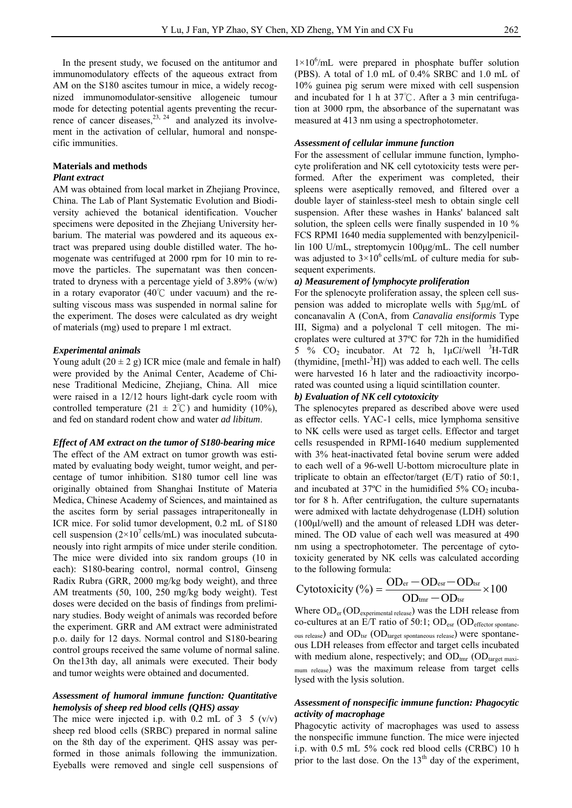In the present study, we focused on the antitumor and immunomodulatory effects of the aqueous extract from AM on the S180 ascites tumour in mice, a widely recognized immunomodulator-sensitive allogeneic tumour mode for detecting potential agents preventing the recurrence of cancer diseases,  $2^{3}$ ,  $2^{4}$  and analyzed its involvement in the activation of cellular, humoral and nonspecific immunities.

### **Materials and methods**

#### *Plant extract*

AM was obtained from local market in Zhejiang Province, China. The Lab of Plant Systematic Evolution and Biodiversity achieved the botanical identification. Voucher specimens were deposited in the Zhejiang University herbarium. The material was powdered and its aqueous extract was prepared using double distilled water. The homogenate was centrifuged at 2000 rpm for 10 min to remove the particles. The supernatant was then concentrated to dryness with a percentage yield of  $3.89\%$  (w/w) in a rotary evaporator (40℃ under vacuum) and the resulting viscous mass was suspended in normal saline for the experiment. The doses were calculated as dry weight of materials (mg) used to prepare 1 ml extract.

#### *Experimental animals*

Young adult  $(20 \pm 2$  g) ICR mice (male and female in half) were provided by the Animal Center, Academe of Chinese Traditional Medicine, Zhejiang, China. All mice were raised in a 12/12 hours light-dark cycle room with controlled temperature (21  $\pm$  2°C) and humidity (10%), and fed on standard rodent chow and water *ad libitum*.

#### *Effect of AM extract on the tumor of S180-bearing mice*

The effect of the AM extract on tumor growth was estimated by evaluating body weight, tumor weight, and percentage of tumor inhibition. S180 tumor cell line was originally obtained from Shanghai Institute of Materia Medica, Chinese Academy of Sciences, and maintained as the ascites form by serial passages intraperitoneally in ICR mice. For solid tumor development, 0.2 mL of S180 cell suspension  $(2\times10'$  cells/mL) was inoculated subcutaneously into right armpits of mice under sterile condition. The mice were divided into six random groups (10 in each): S180-bearing control, normal control, Ginseng Radix Rubra (GRR, 2000 mg/kg body weight), and three AM treatments (50, 100, 250 mg/kg body weight). Test doses were decided on the basis of findings from preliminary studies. Body weight of animals was recorded before the experiment. GRR and AM extract were administrated p.o. daily for 12 days. Normal control and S180-bearing control groups received the same volume of normal saline. On the13th day, all animals were executed. Their body and tumor weights were obtained and documented.

#### *Assessment of humoral immune function: Quantitative hemolysis of sheep red blood cells (QHS) assay*

The mice were injected i.p. with 0.2 mL of 3  $5 (v/v)$ sheep red blood cells (SRBC) prepared in normal saline on the 8th day of the experiment. QHS assay was performed in those animals following the immunization. Eyeballs were removed and single cell suspensions of

 $1\times10^6$ /mL were prepared in phosphate buffer solution (PBS). A total of 1.0 mL of 0.4% SRBC and 1.0 mL of 10% guinea pig serum were mixed with cell suspension and incubated for 1 h at 37℃. After a 3 min centrifugation at 3000 rpm, the absorbance of the supernatant was measured at 413 nm using a spectrophotometer.

#### *Assessment of cellular immune function*

For the assessment of cellular immune function, lymphocyte proliferation and NK cell cytotoxicity tests were performed. After the experiment was completed, their spleens were aseptically removed, and filtered over a double layer of stainless-steel mesh to obtain single cell suspension. After these washes in Hanks' balanced salt solution, the spleen cells were finally suspended in 10 % FCS RPMI 1640 media supplemented with benzylpenicillin 100 U/mL, streptomycin 100μg/mL. The cell number was adjusted to  $3 \times 10^6$  cells/mL of culture media for subsequent experiments.

#### *a) Measurement of lymphocyte proliferation*

For the splenocyte proliferation assay, the spleen cell suspension was added to microplate wells with 5μg/mL of concanavalin A (ConA, from *Canavalia ensiformis* Type III, Sigma) and a polyclonal T cell mitogen. The microplates were cultured at 37ºC for 72h in the humidified 5 %  $CO_2$  incubator. At 72 h,  $1 \mu Ci$ /well <sup>3</sup>H-TdR  $(thymidine, [methl<sup>3</sup>H])$  was added to each well. The cells were harvested 16 h later and the radioactivity incorporated was counted using a liquid scintillation counter.

#### *b) Evaluation of NK cell cytotoxicity*

The splenocytes prepared as described above were used as effector cells. YAC-1 cells, mice lymphoma sensitive to NK cells were used as target cells. Effector and target cells resuspended in RPMI-1640 medium supplemented with 3% heat-inactivated fetal bovine serum were added to each well of a 96-well U-bottom microculture plate in triplicate to obtain an effector/target (E/T) ratio of 50:1, and incubated at  $37^{\circ}$ C in the humidified  $5\%$  CO<sub>2</sub> incubator for 8 h. After centrifugation, the culture supernatants were admixed with lactate dehydrogenase (LDH) solution (100μl/well) and the amount of released LDH was determined. The OD value of each well was measured at 490 nm using a spectrophotometer. The percentage of cytotoxicity generated by NK cells was calculated according to the following formula:

$$
Cytotoxicity (%) = \frac{OD_{er} - OD_{es} - OD_{tsr}}{OD_{unr} - OD_{tsr}} \times 100
$$

Where  $OD_{er}(OD_{experimental \text{ released}})$  was the LDH release from co-cultures at an E/T ratio of 50:1; OD<sub>esr</sub> (OD<sub>effector spontane-</sub> ous release) and OD<sub>tsr</sub> (OD<sub>target spontaneous release</sub>) were spontaneous LDH releases from effector and target cells incubated with medium alone, respectively; and  $OD_{\text{trn}} (OD_{\text{target maxi}})$ mum release) was the maximum release from target cells lysed with the lysis solution.

#### *Assessment of nonspecific immune function: Phagocytic activity of macrophage*

Phagocytic activity of macrophages was used to assess the nonspecific immune function. The mice were injected i.p. with 0.5 mL 5% cock red blood cells (CRBC) 10 h prior to the last dose. On the  $13<sup>th</sup>$  day of the experiment,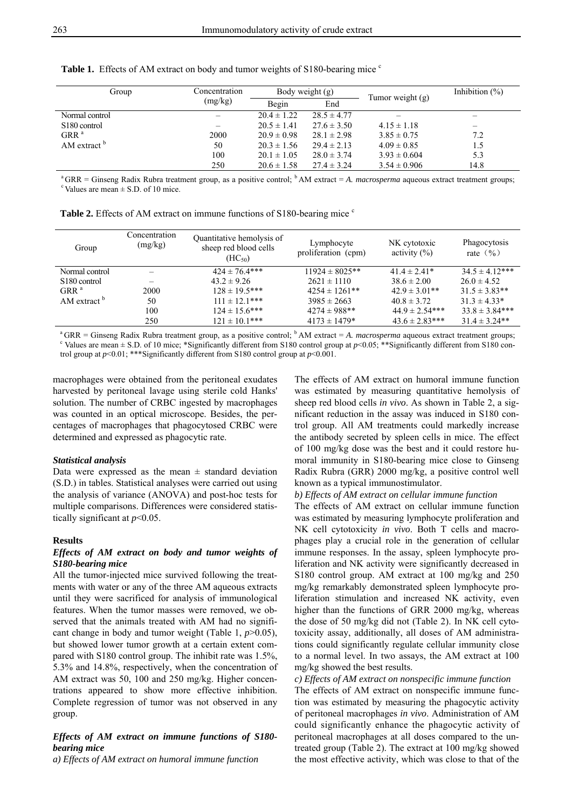| Group                     | Concentration<br>(mg/kg) |                 | Body weight $(g)$ | Tumor weight $(g)$ | Inhibition $(\%)$        |
|---------------------------|--------------------------|-----------------|-------------------|--------------------|--------------------------|
|                           |                          | Begin           | End               |                    |                          |
| Normal control            |                          | $20.4 \pm 1.22$ | $28.5 \pm 4.77$   |                    |                          |
| S <sub>180</sub> control  |                          | $20.5 \pm 1.41$ | $27.6 \pm 3.50$   | $4.15 \pm 1.18$    | $\overline{\phantom{0}}$ |
| $GRR^a$                   | 2000                     | $20.9 \pm 0.98$ | $28.1 \pm 2.98$   | $3.85 \pm 0.75$    | 7.2                      |
| AM extract $\overline{p}$ | 50                       | $20.3 \pm 1.56$ | $29.4 \pm 2.13$   | $4.09 \pm 0.85$    | 1.5                      |
|                           | 100                      | $20.1 \pm 1.05$ | $28.0 \pm 3.74$   | $3.93 \pm 0.604$   | 5.3                      |
|                           | 250                      | $20.6 \pm 1.58$ | $27.4 \pm 3.24$   | $3.54 \pm 0.906$   | 14.8                     |

**Table 1.** Effects of AM extract on body and tumor weights of S180-bearing mice <sup>c</sup>

<sup>a</sup> GRR = Ginseng Radix Rubra treatment group, as a positive control; <sup>b</sup> AM extract = *A. macrosperma* aqueous extract treatment groups; <sup>c</sup> Values are mean  $\pm$  S.D. of 10 mice.

|  |  | <b>Table 2.</b> Effects of AM extract on immune functions of S180-bearing mice <sup>c</sup> |  |  |
|--|--|---------------------------------------------------------------------------------------------|--|--|
|  |  |                                                                                             |  |  |

| Group                    | Concentration<br>(mg/kg) | Quantitative hemolysis of<br>sheep red blood cells<br>$(HC_{50})$ | Lymphocyte<br>proliferation (cpm) | NK cytotoxic<br>activity $(\% )$ | Phagocytosis<br>rate $(\frac{9}{6})$ |
|--------------------------|--------------------------|-------------------------------------------------------------------|-----------------------------------|----------------------------------|--------------------------------------|
| Normal control           |                          | $424 \pm 76.4***$                                                 | $11924 \pm 8025$ **               | $41.4 \pm 2.41*$                 | $34.5 \pm 4.12***$                   |
| S <sub>180</sub> control |                          | $43.2 \pm 9.26$                                                   | $2621 \pm 1110$                   | $38.6 \pm 2.00$                  | $26.0 \pm 4.52$                      |
| GRR <sup>a</sup>         | 2000                     | $128 \pm 19.5***$                                                 | $4254 \pm 1261$ **                | $42.9 \pm 3.01**$                | $31.5 \pm 3.83**$                    |
| AM extract <sup>b</sup>  | 50                       | $111 \pm 12.1***$                                                 | $3985 \pm 2663$                   | $40.8 \pm 3.72$                  | $31.3 \pm 4.33*$                     |
|                          | 100                      | $124 \pm 15.6$ ***                                                | $4274 \pm 988$ **                 | $44.9 \pm 2.54***$               | $33.8 \pm 3.84***$                   |
|                          | 250                      | $121 \pm 10.1***$                                                 | $4173 \pm 1479*$                  | $43.6 \pm 2.83***$               | $31.4 \pm 3.24**$                    |

<sup>a</sup> GRR = Ginseng Radix Rubra treatment group, as a positive control; <sup>b</sup> AM extract = *A. macrosperma* aqueous extract treatment groups; <sup>c</sup> Values are mean  $\pm$  S.D. of 10 mice; \*Significantly different from S180 control group at  $p$ <0.05; \*\*Significantly different from S180 control group at  $p<0.01$ ; \*\*\*Significantly different from S180 control group at  $p<0.001$ .

macrophages were obtained from the peritoneal exudates harvested by peritoneal lavage using sterile cold Hanks' solution. The number of CRBC ingested by macrophages was counted in an optical microscope. Besides, the percentages of macrophages that phagocytosed CRBC were determined and expressed as phagocytic rate.

#### *Statistical analysis*

Data were expressed as the mean  $\pm$  standard deviation (S.D.) in tables. Statistical analyses were carried out using the analysis of variance (ANOVA) and post-hoc tests for multiple comparisons. Differences were considered statistically significant at *p*<0.05.

#### **Results**

#### *Effects of AM extract on body and tumor weights of S180-bearing mice*

All the tumor-injected mice survived following the treatments with water or any of the three AM aqueous extracts until they were sacrificed for analysis of immunological features. When the tumor masses were removed, we observed that the animals treated with AM had no significant change in body and tumor weight (Table 1, *p*>0.05), but showed lower tumor growth at a certain extent compared with S180 control group. The inhibit rate was 1.5%, 5.3% and 14.8%, respectively, when the concentration of AM extract was 50, 100 and 250 mg/kg. Higher concentrations appeared to show more effective inhibition. Complete regression of tumor was not observed in any group.

#### *Effects of AM extract on immune functions of S180 bearing mice*

*a) Effects of AM extract on humoral immune function* 

The effects of AM extract on humoral immune function was estimated by measuring quantitative hemolysis of sheep red blood cells *in vivo*. As shown in Table 2, a significant reduction in the assay was induced in S180 control group. All AM treatments could markedly increase the antibody secreted by spleen cells in mice. The effect of 100 mg/kg dose was the best and it could restore humoral immunity in S180-bearing mice close to Ginseng Radix Rubra (GRR) 2000 mg/kg, a positive control well known as a typical immunostimulator.

#### *b) Effects of AM extract on cellular immune function*

The effects of AM extract on cellular immune function was estimated by measuring lymphocyte proliferation and NK cell cytotoxicity *in vivo*. Both T cells and macrophages play a crucial role in the generation of cellular immune responses. In the assay, spleen lymphocyte proliferation and NK activity were significantly decreased in S180 control group. AM extract at 100 mg/kg and 250 mg/kg remarkably demonstrated spleen lymphocyte proliferation stimulation and increased NK activity, even higher than the functions of GRR 2000 mg/kg, whereas the dose of 50 mg/kg did not (Table 2). In NK cell cytotoxicity assay, additionally, all doses of AM administrations could significantly regulate cellular immunity close to a normal level. In two assays, the AM extract at 100 mg/kg showed the best results.

#### *c) Effects of AM extract on nonspecific immune function*

The effects of AM extract on nonspecific immune function was estimated by measuring the phagocytic activity of peritoneal macrophages *in vivo*. Administration of AM could significantly enhance the phagocytic activity of peritoneal macrophages at all doses compared to the untreated group (Table 2). The extract at 100 mg/kg showed the most effective activity, which was close to that of the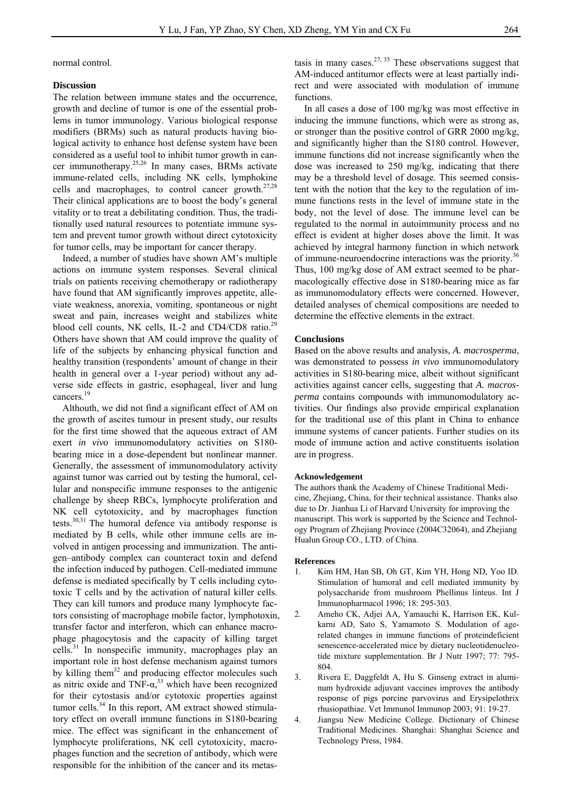normal control.

#### **Discussion**

The relation between immune states and the occurrence, growth and decline of tumor is one of the essential problems in tumor immunology. Various biological response modifiers (BRMs) such as natural products having biological activity to enhance host defense system have been considered as a useful tool to inhibit tumor growth in cancer immunotherapy.25,26 In many cases, BRMs activate immune-related cells, including NK cells, lymphokine cells and macrophages, to control cancer growth. $27,28$ Their clinical applications are to boost the body's general vitality or to treat a debilitating condition. Thus, the traditionally used natural resources to potentiate immune system and prevent tumor growth without direct cytotoxicity for tumor cells, may be important for cancer therapy.

Indeed, a number of studies have shown AM's multiple actions on immune system responses. Several clinical trials on patients receiving chemotherapy or radiotherapy have found that AM significantly improves appetite, alleviate weakness, anorexia, vomiting, spontaneous or night sweat and pain, increases weight and stabilizes white blood cell counts, NK cells, IL-2 and CD4/CD8 ratio.<sup>29</sup> Others have shown that AM could improve the quality of life of the subjects by enhancing physical function and healthy transition (respondents' amount of change in their health in general over a 1-year period) without any adverse side effects in gastric, esophageal, liver and lung cancers.<sup>19</sup>

Althouth, we did not find a significant effect of AM on the growth of ascites tumour in present study, our results for the first time showed that the aqueous extract of AM exert *in vivo* immunomodulatory activities on S180 bearing mice in a dose-dependent but nonlinear manner. Generally, the assessment of immunomodulatory activity against tumor was carried out by testing the humoral, cellular and nonspecific immune responses to the antigenic challenge by sheep RBCs, lymphocyte proliferation and NK cell cytotoxicity, and by macrophages function tests. $30,31$  The humoral defence via antibody response is mediated by B cells, while other immune cells are involved in antigen processing and immunization. The antigen–antibody complex can counteract toxin and defend the infection induced by pathogen. Cell-mediated immune defense is mediated specifically by T cells including cytotoxic T cells and by the activation of natural killer cells. They can kill tumors and produce many lymphocyte factors consisting of macrophage mobile factor, lymphotoxin, transfer factor and interferon, which can enhance macrophage phagocytosis and the capacity of killing target cells.31 In nonspecific immunity, macrophages play an important role in host defense mechanism against tumors by killing them<sup>32</sup> and producing effector molecules such as nitric oxide and TNF- $\alpha$ <sup>33</sup> which have been recognized for their cytostasis and/or cytotoxic properties against tumor cells. $34$  In this report, AM extract showed stimulatory effect on overall immune functions in S180-bearing mice. The effect was significant in the enhancement of lymphocyte proliferations, NK cell cytotoxicity, macrophages function and the secretion of antibody, which were responsible for the inhibition of the cancer and its metas-

tasis in many cases.<sup>27, 35</sup> These observations suggest that AM-induced antitumor effects were at least partially indirect and were associated with modulation of immune functions.

In all cases a dose of 100 mg/kg was most effective in inducing the immune functions, which were as strong as, or stronger than the positive control of GRR 2000 mg/kg, and significantly higher than the S180 control. However, immune functions did not increase significantly when the dose was increased to 250 mg/kg, indicating that there may be a threshold level of dosage. This seemed consistent with the notion that the key to the regulation of immune functions rests in the level of immune state in the body, not the level of dose. The immune level can be regulated to the normal in autoimmunity process and no effect is evident at higher doses above the limit. It was achieved by integral harmony function in which network of immune-neuroendocrine interactions was the priority.<sup>36</sup> Thus, 100 mg/kg dose of AM extract seemed to be pharmacologically effective dose in S180-bearing mice as far as immunomodulatory effects were concerned. However, detailed analyses of chemical compositions are needed to determine the effective elements in the extract.

#### **Conclusions**

Based on the above results and analysis, *A. macrosperma*, was demonstrated to possess *in vivo* immunomodulatory activities in S180-bearing mice, albeit without significant activities against cancer cells, suggesting that *A. macrosperma* contains compounds with immunomodulatory activities. Our findings also provide empirical explanation for the traditional use of this plant in China to enhance immune systems of cancer patients. Further studies on its mode of immune action and active constituents isolation are in progress.

#### **Acknowledgement**

The authors thank the Academy of Chinese Traditional Medicine, Zhejiang, China, for their technical assistance. Thanks also due to Dr. Jianhua Li of Harvard University for improving the manuscript. This work is supported by the Science and Technology Program of Zhejiang Province (2004C32064), and Zhejiang Hualun Group CO., LTD. of China.

#### **References**

- 1. Kim HM, Han SB, Oh GT, Kim YH, Hong ND, Yoo ID. Stimulation of humoral and cell mediated immunity by polysaccharide from mushroom Phellinus linteus. Int J Immunopharmacol 1996; 18: 295-303.
- 2. Ameho CK, Adjei AA, Yamauchi K, Harrison EK, Kulkarni AD, Sato S, Yamamoto S. Modulation of agerelated changes in immune functions of proteindeficient senescence-accelerated mice by dietary nucleotidenucleotide mixture supplementation. Br J Nutr 1997; 77: 795- 804.
- 3. Rivera E, Daggfeldt A, Hu S. Ginseng extract in aluminum hydroxide adjuvant vaccines improves the antibody response of pigs porcine parvovirus and Erysipelothrix rhusiopathiae. Vet Immunol Immunop 2003; 91: 19-27.
- 4. Jiangsu New Medicine College. Dictionary of Chinese Traditional Medicines. Shanghai: Shanghai Science and Technology Press, 1984.